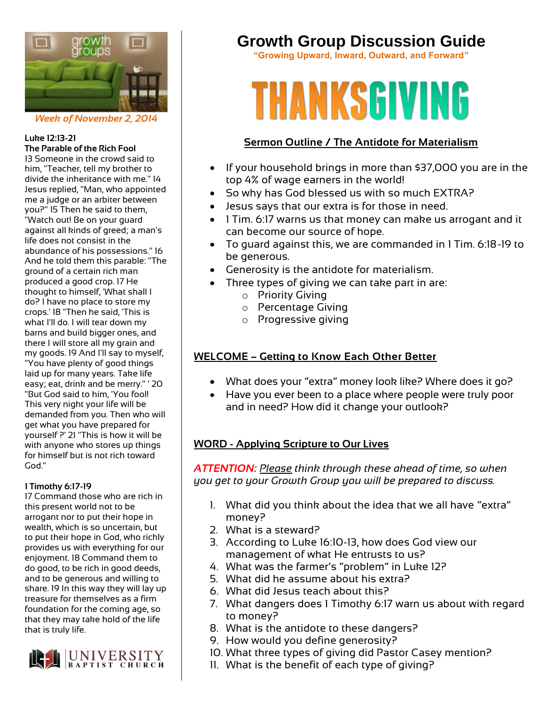

*Week of November 2, 2014*

#### **Luke 12:13-21 The Parable of the Rich Fool**

13 Someone in the crowd said to him, "Teacher, tell my brother to divide the inheritance with me." 14 Jesus replied, "Man, who appointed me a judge or an arbiter between you?" 15 Then he said to them, "Watch out! Be on your guard against all kinds of greed; a man's life does not consist in the abundance of his possessions." 16 And he told them this parable: "The ground of a certain rich man produced a good crop. 17 He thought to himself, 'What shall I do? I have no place to store my crops.' 18 "Then he said, 'This is what I'll do. I will tear down my barns and build bigger ones, and there I will store all my grain and my goods. 19 And I'll say to myself, "You have plenty of good things laid up for many years. Take life easy; eat, drink and be merry." ' 20 "But God said to him, 'You fool! This very night your life will be demanded from you. Then who will get what you have prepared for yourself ?' 21 "This is how it will be with anyone who stores up things for himself but is not rich toward God."

#### **1 Timothy 6:17-19**

17 Command those who are rich in this present world not to be arrogant nor to put their hope in wealth, which is so uncertain, but to put their hope in God, who richly provides us with everything for our enjoyment. 18 Command them to do good, to be rich in good deeds, and to be generous and willing to share. 19 In this way they will lay up treasure for themselves as a firm foundation for the coming age, so that they may take hold of the life that is truly life.



# **Growth Group Discussion Guide**

**"Growing Upward, Inward, Outward, and Forward"**

# **THANKSGIVING**

# **Sermon Outline / The Antidote for Materialism**

- If your household brings in more than \$37,000 you are in the top 4% of wage earners in the world!
- So why has God blessed us with so much EXTRA?
- Jesus says that our extra is for those in need.
- 1 Tim. 6:17 warns us that money can make us arrogant and it can become our source of hope.
- To guard against this, we are commanded in 1 Tim. 6:18-19 to be generous.
- Generosity is the antidote for materialism.
- Three types of giving we can take part in are:
	- o Priority Giving
	- o Percentage Giving
	- o Progressive giving

# **WELCOME – Getting to Know Each Other Better**

- What does your "extra" money look like? Where does it go?
- Have you ever been to a place where people were truly poor and in need? How did it change your outlook?

## **WORD - Applying Scripture to Our Lives**

*ATTENTION: Please think through these ahead of time, so when you get to your Growth Group you will be prepared to discuss.*

- 1. What did you think about the idea that we all have "extra" money?
- 2. What is a steward?
- 3. According to Luke 16:10-13, how does God view our management of what He entrusts to us?
- 4. What was the farmer's "problem" in Luke 12?
- 5. What did he assume about his extra?
- 6. What did Jesus teach about this?
- 7. What dangers does 1 Timothy 6:17 warn us about with regard to money?
- 8. What is the antidote to these dangers?
- 9. How would you define generosity?
- 10. What three types of giving did Pastor Casey mention?
- 11. What is the benefit of each type of giving?